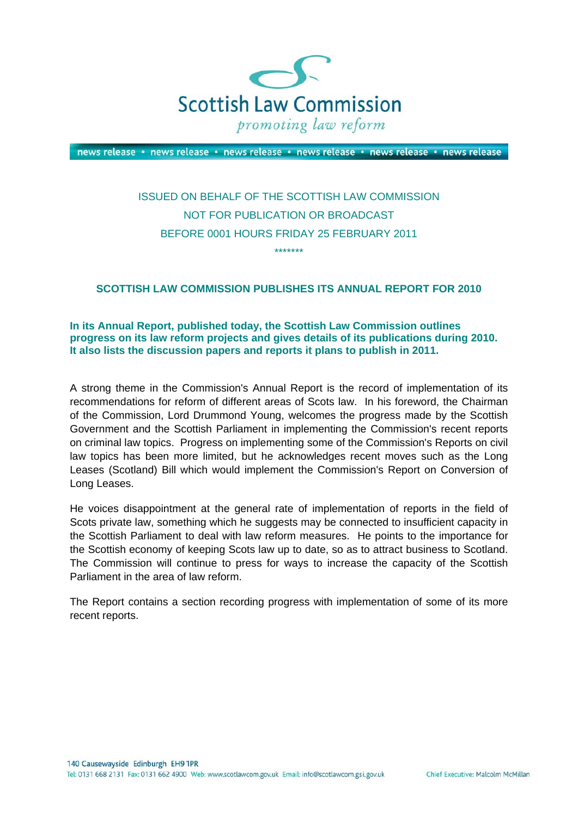

news release · news release · news release · news release · news release · news release

# ISSUED ON BEHALF OF THE SCOTTISH LAW COMMISSION NOT FOR PUBLICATION OR BROADCAST BEFORE 0001 HOURS FRIDAY 25 FEBRUARY 2011

\*\*\*\*\*\*\*

# **SCOTTISH LAW COMMISSION PUBLISHES ITS ANNUAL REPORT FOR 2010**

**In its Annual Report, published today, the Scottish Law Commission outlines progress on its law reform projects and gives details of its publications during 2010. It also lists the discussion papers and reports it plans to publish in 2011.**

A strong theme in the Commission's Annual Report is the record of implementation of its recommendations for reform of different areas of Scots law. In his foreword, the Chairman of the Commission, Lord Drummond Young, welcomes the progress made by the Scottish Government and the Scottish Parliament in implementing the Commission's recent reports on criminal law topics. Progress on implementing some of the Commission's Reports on civil law topics has been more limited, but he acknowledges recent moves such as the Long Leases (Scotland) Bill which would implement the Commission's Report on Conversion of Long Leases.

He voices disappointment at the general rate of implementation of reports in the field of Scots private law, something which he suggests may be connected to insufficient capacity in the Scottish Parliament to deal with law reform measures. He points to the importance for the Scottish economy of keeping Scots law up to date, so as to attract business to Scotland. The Commission will continue to press for ways to increase the capacity of the Scottish Parliament in the area of law reform.

The Report contains a section recording progress with implementation of some of its more recent reports.